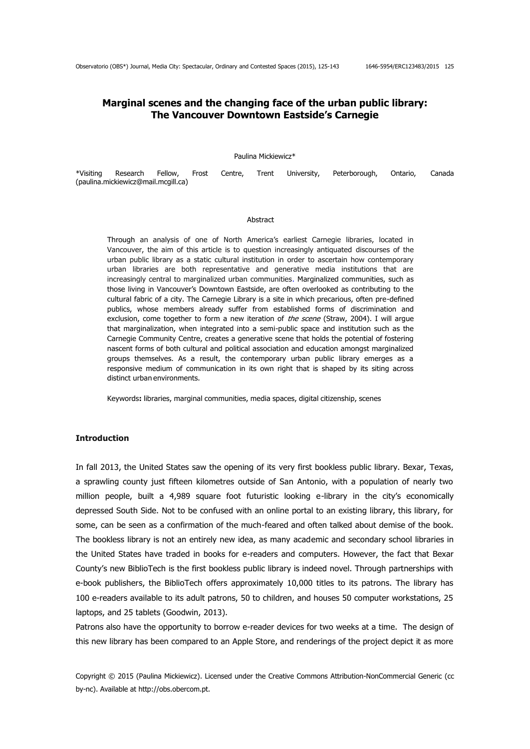# **Marginal scenes and the changing face of the urban public library: The Vancouver Downtown Eastside's Carnegie**

Paulina Mickiewicz\*

|                                     |  |  |  | *Visiting Research Fellow, Frost Centre, Trent University, Peterborough, Ontario, Canada |  |
|-------------------------------------|--|--|--|------------------------------------------------------------------------------------------|--|
| (paulina.mickiewicz@mail.mcgill.ca) |  |  |  |                                                                                          |  |

#### Abstract

Through an analysis of one of North America's earliest Carnegie libraries, located in Vancouver, the aim of this article is to question increasingly antiquated discourses of the urban public library as a static cultural institution in order to ascertain how contemporary urban libraries are both representative and generative media institutions that are increasingly central to marginalized urban communities. Marginalized communities, such as those living in Vancouver's Downtown Eastside, are often overlooked as contributing to the cultural fabric of a city. The Carnegie Library is a site in which precarious, often pre-defined publics, whose members already suffer from established forms of discrimination and exclusion, come together to form a new iteration of the scene (Straw, 2004). I will argue that marginalization, when integrated into a semi-public space and institution such as the Carnegie Community Centre, creates a generative scene that holds the potential of fostering nascent forms of both cultural and political association and education amongst marginalized groups themselves. As a result, the contemporary urban public library emerges as a responsive medium of communication in its own right that is shaped by its siting across distinct urban environments.

Keywords**:** libraries, marginal communities, media spaces, digital citizenship, scenes

### **Introduction**

In fall 2013, the United States saw the opening of its very first bookless public library. Bexar, Texas, a sprawling county just fifteen kilometres outside of San Antonio, with a population of nearly two million people, built a 4,989 square foot futuristic looking e-library in the city's economically depressed South Side. Not to be confused with an online portal to an existing library, this library, for some, can be seen as a confirmation of the much-feared and often talked about demise of the book. The bookless library is not an entirely new idea, as many academic and secondary school libraries in the United States have traded in books for e-readers and computers. However, the fact that Bexar County's new BiblioTech is the first bookless public library is indeed novel. Through partnerships with e-book publishers, the BiblioTech offers approximately 10,000 titles to its patrons. The library has 100 e-readers available to its adult patrons, 50 to children, and houses 50 computer workstations, 25 laptops, and 25 tablets (Goodwin, 2013).

Patrons also have the opportunity to borrow e-reader devices for two weeks at a time. The design of this new library has been compared to an Apple Store, and renderings of the project depict it as more

Copyright © 2015 (Paulina Mickiewicz). Licensed under the Creative Commons Attribution-NonCommercial Generic (cc by-nc). Available at http://obs.obercom.pt.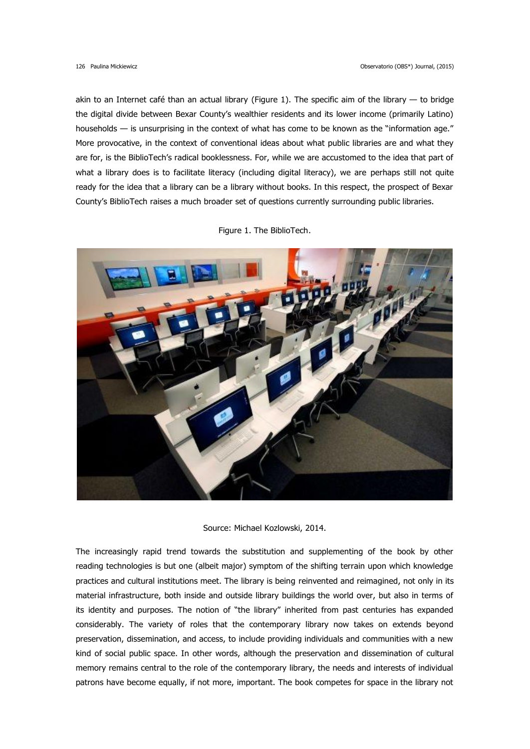akin to an Internet café than an actual library (Figure 1). The specific aim of the library — to bridge the digital divide between Bexar County's wealthier residents and its lower income (primarily Latino) households — is unsurprising in the context of what has come to be known as the "information age." More provocative, in the context of conventional ideas about what public libraries are and what they are for, is the BiblioTech's radical booklessness. For, while we are accustomed to the idea that part of what a library does is to facilitate literacy (including digital literacy), we are perhaps still not quite ready for the idea that a library can be a library without books. In this respect, the prospect of Bexar County's BiblioTech raises a much broader set of questions currently surrounding public libraries.



Figure 1. The BiblioTech.

Source: Michael Kozlowski, 2014.

The increasingly rapid trend towards the substitution and supplementing of the book by other reading technologies is but one (albeit major) symptom of the shifting terrain upon which knowledge practices and cultural institutions meet. The library is being reinvented and reimagined, not only in its material infrastructure, both inside and outside library buildings the world over, but also in terms of its identity and purposes. The notion of "the library" inherited from past centuries has expanded considerably. The variety of roles that the contemporary library now takes on extends beyond preservation, dissemination, and access, to include providing individuals and communities with a new kind of social public space. In other words, although the preservation and dissemination of cultural memory remains central to the role of the contemporary library, the needs and interests of individual patrons have become equally, if not more, important. The book competes for space in the library not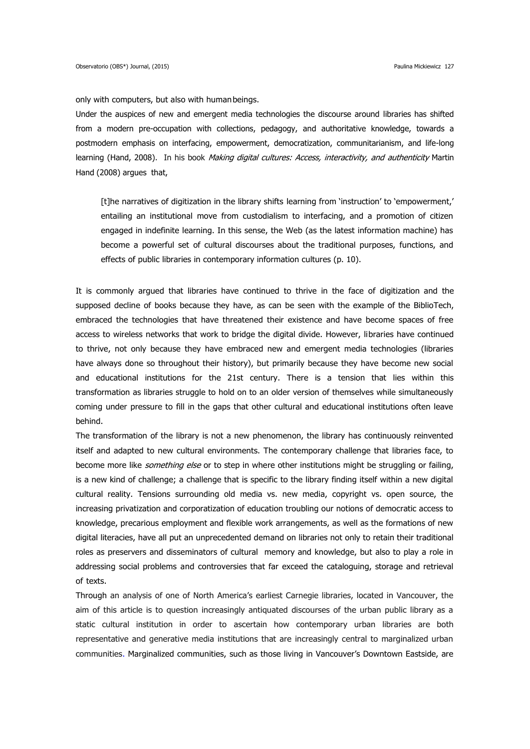only with computers, but also with humanbeings.

Under the auspices of new and emergent media technologies the discourse around libraries has shifted from a modern pre-occupation with collections, pedagogy, and authoritative knowledge, towards a postmodern emphasis on interfacing, empowerment, democratization, communitarianism, and life-long learning (Hand, 2008). In his book Making digital cultures: Access, interactivity, and authenticity Martin Hand (2008) argues that,

[t]he narratives of digitization in the library shifts learning from 'instruction' to 'empowerment,' entailing an institutional move from custodialism to interfacing, and a promotion of citizen engaged in indefinite learning. In this sense, the Web (as the latest information machine) has become a powerful set of cultural discourses about the traditional purposes, functions, and effects of public libraries in contemporary information cultures (p. 10).

It is commonly argued that libraries have continued to thrive in the face of digitization and the supposed decline of books because they have, as can be seen with the example of the BiblioTech, embraced the technologies that have threatened their existence and have become spaces of free access to wireless networks that work to bridge the digital divide. However, libraries have continued to thrive, not only because they have embraced new and emergent media technologies (libraries have always done so throughout their history), but primarily because they have become new social and educational institutions for the 21st century. There is a tension that lies within this transformation as libraries struggle to hold on to an older version of themselves while simultaneously coming under pressure to fill in the gaps that other cultural and educational institutions often leave behind.

The transformation of the library is not a new phenomenon, the library has continuously reinvented itself and adapted to new cultural environments. The contemporary challenge that libraries face, to become more like *something else* or to step in where other institutions might be struggling or failing, is a new kind of challenge; a challenge that is specific to the library finding itself within a new digital cultural reality. Tensions surrounding old media vs. new media, copyright vs. open source, the increasing privatization and corporatization of education troubling our notions of democratic access to knowledge, precarious employment and flexible work arrangements, as well as the formations of new digital literacies, have all put an unprecedented demand on libraries not only to retain their traditional roles as preservers and disseminators of cultural memory and knowledge, but also to play a role in addressing social problems and controversies that far exceed the cataloguing, storage and retrieval of texts.

Through an analysis of one of North America's earliest Carnegie libraries, located in Vancouver, the aim of this article is to question increasingly antiquated discourses of the urban public library as a static cultural institution in order to ascertain how contemporary urban libraries are both representative and generative media institutions that are increasingly central to marginalized urban communities. Marginalized communities, such as those living in Vancouver's Downtown Eastside, are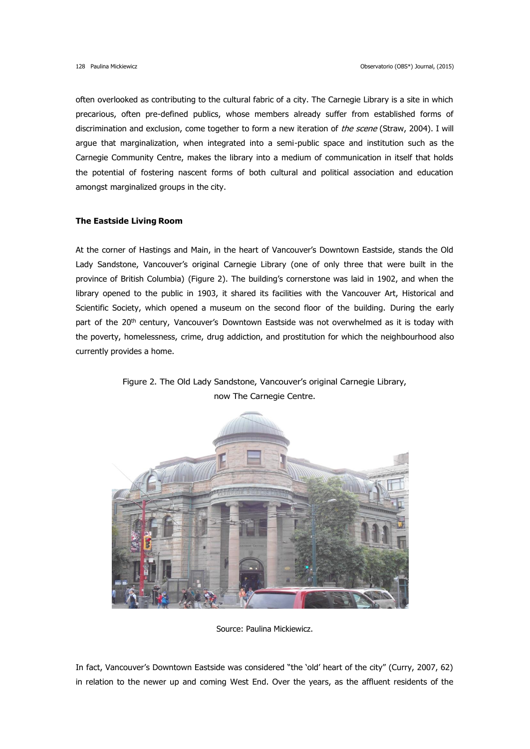often overlooked as contributing to the cultural fabric of a city. The Carnegie Library is a site in which precarious, often pre-defined publics, whose members already suffer from established forms of discrimination and exclusion, come together to form a new iteration of the scene (Straw, 2004). I will argue that marginalization, when integrated into a semi-public space and institution such as the Carnegie Community Centre, makes the library into a medium of communication in itself that holds the potential of fostering nascent forms of both cultural and political association and education amongst marginalized groups in the city.

# **The Eastside Living Room**

At the corner of Hastings and Main, in the heart of Vancouver's Downtown Eastside, stands the Old Lady Sandstone, Vancouver's original Carnegie Library (one of only three that were built in the province of British Columbia) (Figure 2). The building's cornerstone was laid in 1902, and when the library opened to the public in 1903, it shared its facilities with the Vancouver Art, Historical and Scientific Society, which opened a museum on the second floor of the building. During the early part of the 20<sup>th</sup> century, Vancouver's Downtown Eastside was not overwhelmed as it is today with the poverty, homelessness, crime, drug addiction, and prostitution for which the neighbourhood also currently provides a home.



Figure 2. The Old Lady Sandstone, Vancouver's original Carnegie Library, now The Carnegie Centre.

Source: Paulina Mickiewicz.

In fact, Vancouver's Downtown Eastside was considered "the 'old' heart of the city" (Curry, 2007, 62) in relation to the newer up and coming West End. Over the years, as the affluent residents of the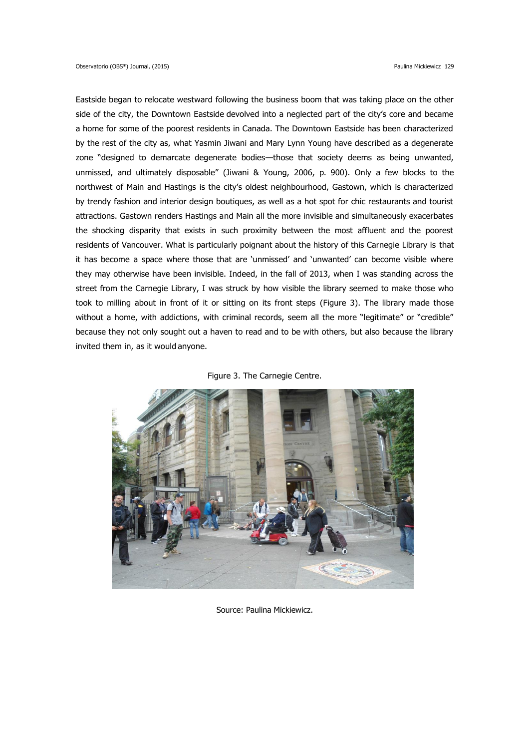Eastside began to relocate westward following the business boom that was taking place on the other side of the city, the Downtown Eastside devolved into a neglected part of the city's core and became a home for some of the poorest residents in Canada. The Downtown Eastside has been characterized by the rest of the city as, what Yasmin Jiwani and Mary Lynn Young have described as a degenerate zone "designed to demarcate degenerate bodies—those that society deems as being unwanted, unmissed, and ultimately disposable" (Jiwani & Young, 2006, p. 900). Only a few blocks to the northwest of Main and Hastings is the city's oldest neighbourhood, Gastown, which is characterized by trendy fashion and interior design boutiques, as well as a hot spot for chic restaurants and tourist attractions. Gastown renders Hastings and Main all the more invisible and simultaneously exacerbates the shocking disparity that exists in such proximity between the most affluent and the poorest residents of Vancouver. What is particularly poignant about the history of this Carnegie Library is that it has become a space where those that are 'unmissed' and 'unwanted' can become visible where they may otherwise have been invisible. Indeed, in the fall of 2013, when I was standing across the street from the Carnegie Library, I was struck by how visible the library seemed to make those who took to milling about in front of it or sitting on its front steps (Figure 3). The library made those without a home, with addictions, with criminal records, seem all the more "legitimate" or "credible" because they not only sought out a haven to read and to be with others, but also because the library invited them in, as it would anyone.





Source: Paulina Mickiewicz.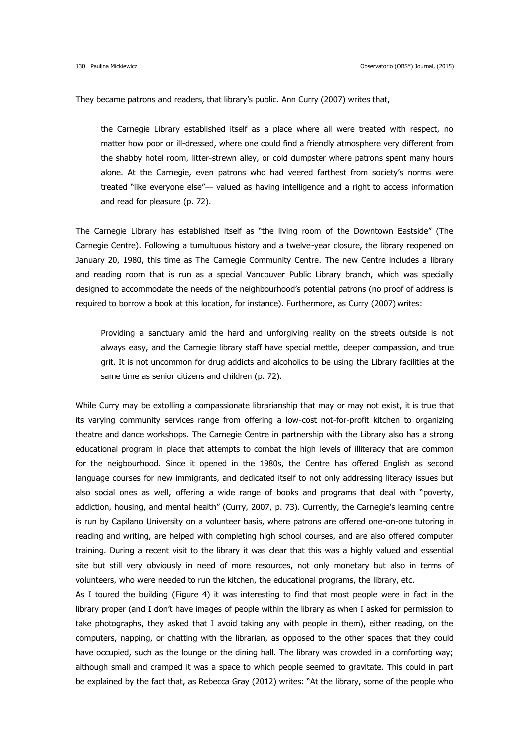They became patrons and readers, that library's public. Ann Curry (2007) writes that,

the Carnegie Library established itself as a place where all were treated with respect, no matter how poor or ill-dressed, where one could find a friendly atmosphere very different from the shabby hotel room, litter-strewn alley, or cold dumpster where patrons spent many hours alone. At the Carnegie, even patrons who had veered farthest from society's norms were treated "like everyone else"— valued as having intelligence and a right to access information and read for pleasure (p. 72).

The Carnegie Library has established itself as "the living room of the Downtown Eastside" (The Carnegie Centre). Following a tumultuous history and a twelve-year closure, the library reopened on January 20, 1980, this time as The Carnegie Community Centre. The new Centre includes a library and reading room that is run as a special Vancouver Public Library branch, which was specially designed to accommodate the needs of the neighbourhood's potential patrons (no proof of address is required to borrow a book at this location, for instance). Furthermore, as Curry (2007) writes:

Providing a sanctuary amid the hard and unforgiving reality on the streets outside is not always easy, and the Carnegie library staff have special mettle, deeper compassion, and true grit. It is not uncommon for drug addicts and alcoholics to be using the Library facilities at the same time as senior citizens and children (p. 72).

While Curry may be extolling a compassionate librarianship that may or may not exist, it is true that its varying community services range from offering a low-cost not-for-profit kitchen to organizing theatre and dance workshops. The Carnegie Centre in partnership with the Library also has a strong educational program in place that attempts to combat the high levels of illiteracy that are common for the neigbourhood. Since it opened in the 1980s, the Centre has offered English as second language courses for new immigrants, and dedicated itself to not only addressing literacy issues but also social ones as well, offering a wide range of books and programs that deal with "poverty, addiction, housing, and mental health" (Curry, 2007, p. 73). Currently, the Carnegie's learning centre is run by Capilano University on a volunteer basis, where patrons are offered one-on-one tutoring in reading and writing, are helped with completing high school courses, and are also offered computer training. During a recent visit to the library it was clear that this was a highly valued and essential site but still very obviously in need of more resources, not only monetary but also in terms of volunteers, who were needed to run the kitchen, the educational programs, the library, etc.

As I toured the building (Figure 4) it was interesting to find that most people were in fact in the library proper (and I don't have images of people within the library as when I asked for permission to take photographs, they asked that I avoid taking any with people in them), either reading, on the computers, napping, or chatting with the librarian, as opposed to the other spaces that they could have occupied, such as the lounge or the dining hall. The library was crowded in a comforting way; although small and cramped it was a space to which people seemed to gravitate. This could in part be explained by the fact that, as Rebecca Gray (2012) writes: "At the library, some of the people who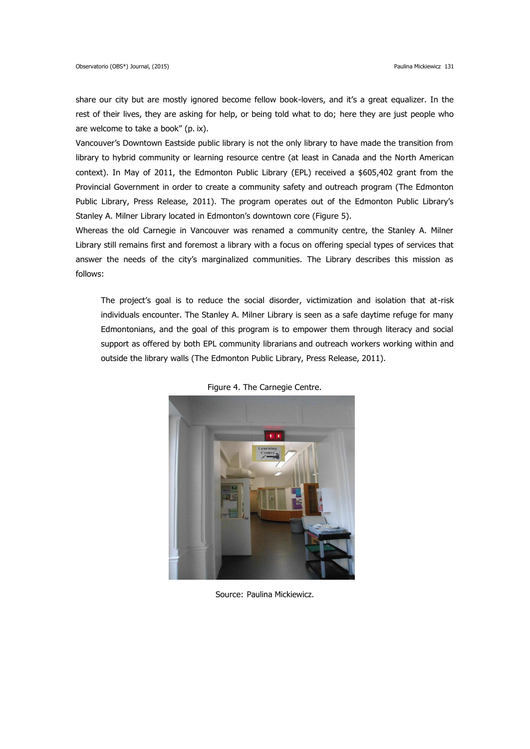share our city but are mostly ignored become fellow book-lovers, and it's a great equalizer. In the rest of their lives, they are asking for help, or being told what to do; here they are just people who are welcome to take a book" (p. ix).

Vancouver's Downtown Eastside public library is not the only library to have made the transition from library to hybrid community or learning resource centre (at least in Canada and the North American context). In May of 2011, the Edmonton Public Library (EPL) received a \$605,402 grant from the Provincial Government in order to create a community safety and outreach program (The Edmonton Public Library, Press Release, 2011). The program operates out of the Edmonton Public Library's Stanley A. Milner Library located in Edmonton's downtown core (Figure 5).

Whereas the old Carnegie in Vancouver was renamed a community centre, the Stanley A. Milner Library still remains first and foremost a library with a focus on offering special types of services that answer the needs of the city's marginalized communities. The Library describes this mission as follows:

The project's goal is to reduce the social disorder, victimization and isolation that at-risk individuals encounter. The Stanley A. Milner Library is seen as a safe daytime refuge for many Edmontonians, and the goal of this program is to empower them through literacy and social support as offered by both EPL community librarians and outreach workers working within and outside the library walls (The Edmonton Public Library, Press Release, 2011).



Figure 4. The Carnegie Centre.

Source: Paulina Mickiewicz.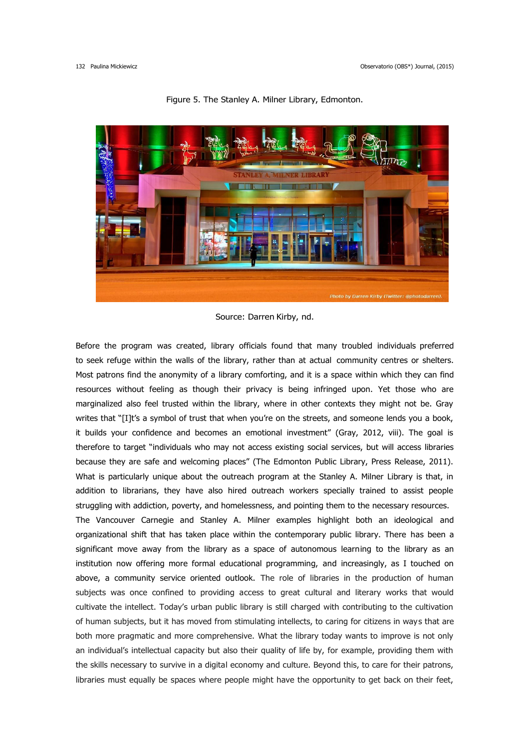

Figure 5. The Stanley A. Milner Library, Edmonton.

Before the program was created, library officials found that many troubled individuals preferred to seek refuge within the walls of the library, rather than at actual community centres or shelters. Most patrons find the anonymity of a library comforting, and it is a space within which they can find resources without feeling as though their privacy is being infringed upon. Yet those who are marginalized also feel trusted within the library, where in other contexts they might not be. Gray writes that "[I]t's a symbol of trust that when you're on the streets, and someone lends you a book, it builds your confidence and becomes an emotional investment" (Gray, 2012, viii). The goal is therefore to target "individuals who may not access existing social services, but will access libraries because they are safe and welcoming places" (The Edmonton Public Library, Press Release, 2011). What is particularly unique about the outreach program at the Stanley A. Milner Library is that, in addition to librarians, they have also hired outreach workers specially trained to assist people struggling with addiction, poverty, and homelessness, and pointing them to the necessary resources. The Vancouver Carnegie and Stanley A. Milner examples highlight both an ideological and organizational shift that has taken place within the contemporary public library. There has been a significant move away from the library as a space of autonomous learning to the library as an institution now offering more formal educational programming, and increasingly, as I touched on above, a community service oriented outlook. The role of libraries in the production of human subjects was once confined to providing access to great cultural and literary works that would cultivate the intellect. Today's urban public library is still charged with contributing to the cultivation of human subjects, but it has moved from stimulating intellects, to caring for citizens in ways that are both more pragmatic and more comprehensive. What the library today wants to improve is not only an individual's intellectual capacity but also their quality of life by, for example, providing them with the skills necessary to survive in a digital economy and culture. Beyond this, to care for their patrons, libraries must equally be spaces where people might have the opportunity to get back on their feet,

Source: Darren Kirby, nd.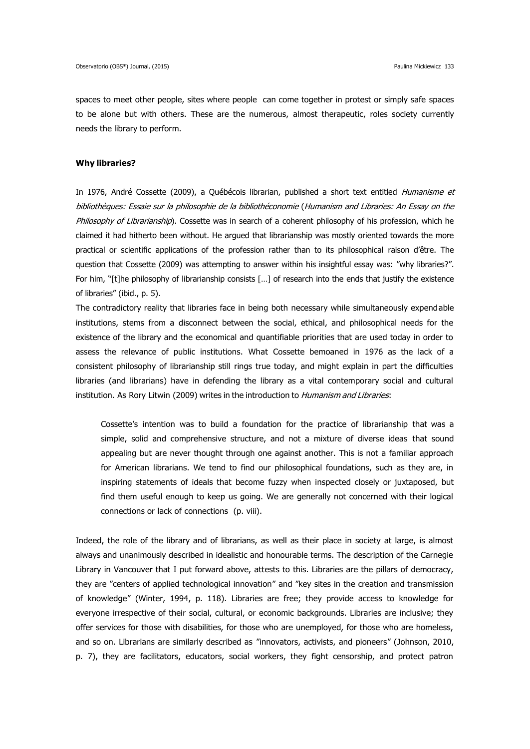spaces to meet other people, sites where people can come together in protest or simply safe spaces to be alone but with others. These are the numerous, almost therapeutic, roles society currently needs the library to perform.

#### **Why libraries?**

In 1976, André Cossette (2009), a Québécois librarian, published a short text entitled Humanisme et bibliothèques: Essaie sur la philosophie de la bibliothéconomie (Humanism and Libraries: An Essay on the Philosophy of Librarianship). Cossette was in search of a coherent philosophy of his profession, which he claimed it had hitherto been without. He argued that librarianship was mostly oriented towards the more practical or scientific applications of the profession rather than to its philosophical raison d'être. The question that Cossette (2009) was attempting to answer within his insightful essay was: "why libraries?". For him, "[t]he philosophy of librarianship consists […] of research into the ends that justify the existence of libraries" (ibid., p. 5).

The contradictory reality that libraries face in being both necessary while simultaneously expendable institutions, stems from a disconnect between the social, ethical, and philosophical needs for the existence of the library and the economical and quantifiable priorities that are used today in order to assess the relevance of public institutions. What Cossette bemoaned in 1976 as the lack of a consistent philosophy of librarianship still rings true today, and might explain in part the difficulties libraries (and librarians) have in defending the library as a vital contemporary social and cultural institution. As Rory Litwin (2009) writes in the introduction to *Humanism and Libraries*:

Cossette's intention was to build a foundation for the practice of librarianship that was a simple, solid and comprehensive structure, and not a mixture of diverse ideas that sound appealing but are never thought through one against another. This is not a familiar approach for American librarians. We tend to find our philosophical foundations, such as they are, in inspiring statements of ideals that become fuzzy when inspected closely or juxtaposed, but find them useful enough to keep us going. We are generally not concerned with their logical connections or lack of connections (p. viii).

Indeed, the role of the library and of librarians, as well as their place in society at large, is almost always and unanimously described in idealistic and honourable terms. The description of the Carnegie Library in Vancouver that I put forward above, attests to this. Libraries are the pillars of democracy, they are "centers of applied technological innovation" and "key sites in the creation and transmission of knowledge" (Winter, 1994, p. 118). Libraries are free; they provide access to knowledge for everyone irrespective of their social, cultural, or economic backgrounds. Libraries are inclusive; they offer services for those with disabilities, for those who are unemployed, for those who are homeless, and so on. Librarians are similarly described as "innovators, activists, and pioneers" (Johnson, 2010, p. 7), they are facilitators, educators, social workers, they fight censorship, and protect patron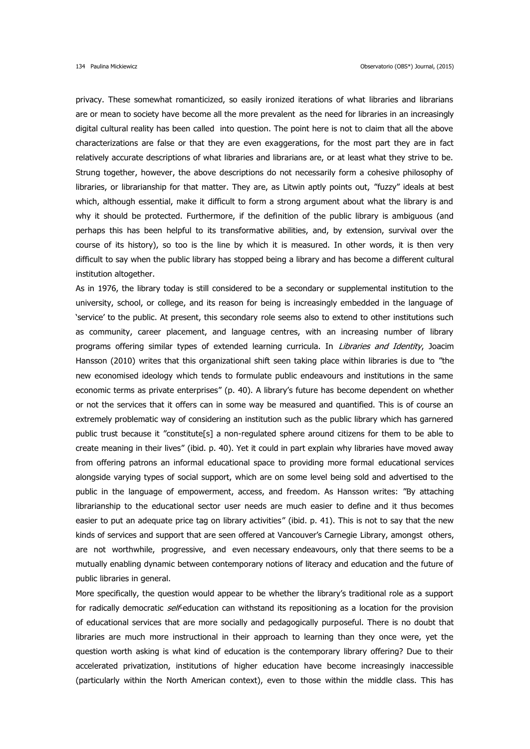privacy. These somewhat romanticized, so easily ironized iterations of what libraries and librarians are or mean to society have become all the more prevalent as the need for libraries in an increasingly digital cultural reality has been called into question. The point here is not to claim that all the above characterizations are false or that they are even exaggerations, for the most part they are in fact relatively accurate descriptions of what libraries and librarians are, or at least what they strive to be. Strung together, however, the above descriptions do not necessarily form a cohesive philosophy of libraries, or librarianship for that matter. They are, as Litwin aptly points out, "fuzzy" ideals at best which, although essential, make it difficult to form a strong argument about what the library is and why it should be protected. Furthermore, if the definition of the public library is ambiguous (and perhaps this has been helpful to its transformative abilities, and, by extension, survival over the course of its history), so too is the line by which it is measured. In other words, it is then very difficult to say when the public library has stopped being a library and has become a different cultural institution altogether.

As in 1976, the library today is still considered to be a secondary or supplemental institution to the university, school, or college, and its reason for being is increasingly embedded in the language of 'service' to the public. At present, this secondary role seems also to extend to other institutions such as community, career placement, and language centres, with an increasing number of library programs offering similar types of extended learning curricula. In Libraries and Identity, Joacim Hansson (2010) writes that this organizational shift seen taking place within libraries is due to "the new economised ideology which tends to formulate public endeavours and institutions in the same economic terms as private enterprises" (p. 40). A library's future has become dependent on whether or not the services that it offers can in some way be measured and quantified. This is of course an extremely problematic way of considering an institution such as the public library which has garnered public trust because it "constitute[s] a non-regulated sphere around citizens for them to be able to create meaning in their lives" (ibid. p. 40). Yet it could in part explain why libraries have moved away from offering patrons an informal educational space to providing more formal educational services alongside varying types of social support, which are on some level being sold and advertised to the public in the language of empowerment, access, and freedom. As Hansson writes: "By attaching librarianship to the educational sector user needs are much easier to define and it thus becomes easier to put an adequate price tag on library activities" (ibid. p. 41). This is not to say that the new kinds of services and support that are seen offered at Vancouver's Carnegie Library, amongst others, are not worthwhile, progressive, and even necessary endeavours, only that there seems to be a mutually enabling dynamic between contemporary notions of literacy and education and the future of public libraries in general.

More specifically, the question would appear to be whether the library's traditional role as a support for radically democratic self-education can withstand its repositioning as a location for the provision of educational services that are more socially and pedagogically purposeful. There is no doubt that libraries are much more instructional in their approach to learning than they once were, yet the question worth asking is what kind of education is the contemporary library offering? Due to their accelerated privatization, institutions of higher education have become increasingly inaccessible (particularly within the North American context), even to those within the middle class. This has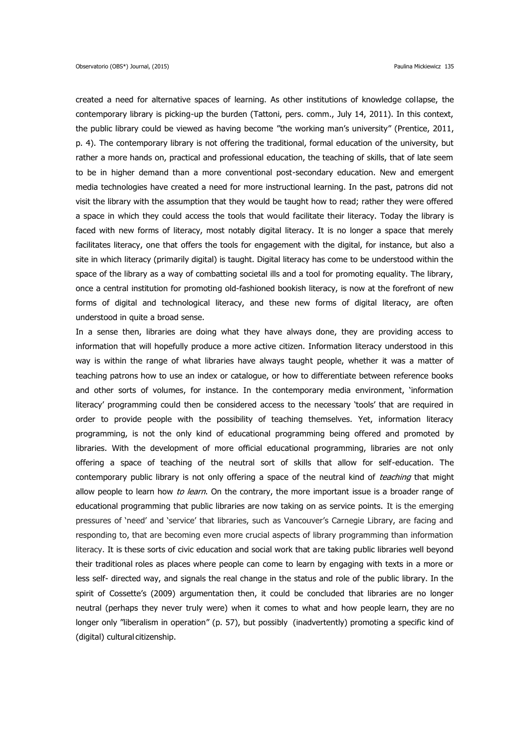created a need for alternative spaces of learning. As other institutions of knowledge collapse, the contemporary library is picking-up the burden (Tattoni, pers. comm., July 14, 2011). In this context, the public library could be viewed as having become "the working man's university" (Prentice, 2011, p. 4). The contemporary library is not offering the traditional, formal education of the university, but rather a more hands on, practical and professional education, the teaching of skills, that of late seem to be in higher demand than a more conventional post-secondary education. New and emergent media technologies have created a need for more instructional learning. In the past, patrons did not visit the library with the assumption that they would be taught how to read; rather they were offered a space in which they could access the tools that would facilitate their literacy. Today the library is faced with new forms of literacy, most notably digital literacy. It is no longer a space that merely facilitates literacy, one that offers the tools for engagement with the digital, for instance, but also a site in which literacy (primarily digital) is taught. Digital literacy has come to be understood within the space of the library as a way of combatting societal ills and a tool for promoting equality. The library, once a central institution for promoting old-fashioned bookish literacy, is now at the forefront of new forms of digital and technological literacy, and these new forms of digital literacy, are often understood in quite a broad sense.

In a sense then, libraries are doing what they have always done, they are providing access to information that will hopefully produce a more active citizen. Information literacy understood in this way is within the range of what libraries have always taught people, whether it was a matter of teaching patrons how to use an index or catalogue, or how to differentiate between reference books and other sorts of volumes, for instance. In the contemporary media environment, 'information literacy' programming could then be considered access to the necessary 'tools' that are required in order to provide people with the possibility of teaching themselves. Yet, information literacy programming, is not the only kind of educational programming being offered and promoted by libraries. With the development of more official educational programming, libraries are not only offering a space of teaching of the neutral sort of skills that allow for self-education. The contemporary public library is not only offering a space of the neutral kind of teaching that might allow people to learn how to learn. On the contrary, the more important issue is a broader range of educational programming that public libraries are now taking on as service points. It is the emerging pressures of 'need' and 'service' that libraries, such as Vancouver's Carnegie Library, are facing and responding to, that are becoming even more crucial aspects of library programming than information literacy. It is these sorts of civic education and social work that are taking public libraries well beyond their traditional roles as places where people can come to learn by engaging with texts in a more or less self- directed way, and signals the real change in the status and role of the public library. In the spirit of Cossette's (2009) argumentation then, it could be concluded that libraries are no longer neutral (perhaps they never truly were) when it comes to what and how people learn, they are no longer only "liberalism in operation" (p. 57), but possibly (inadvertently) promoting a specific kind of (digital) cultural citizenship.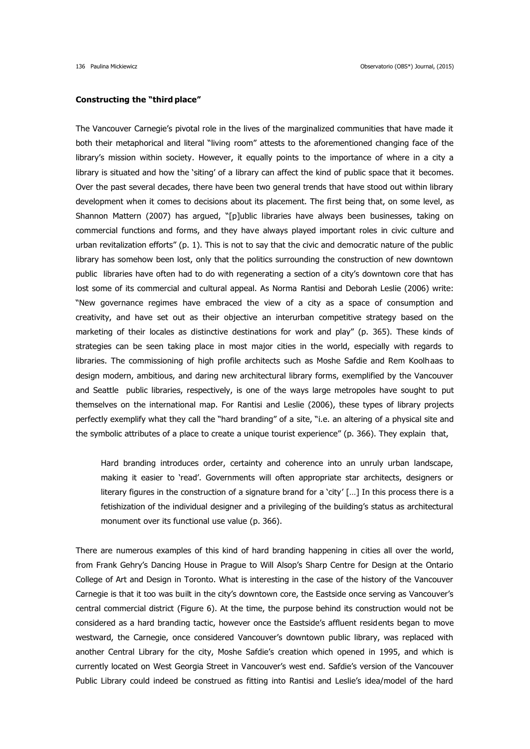### **Constructing the "third place"**

The Vancouver Carnegie's pivotal role in the lives of the marginalized communities that have made it both their metaphorical and literal "living room" attests to the aforementioned changing face of the library's mission within society. However, it equally points to the importance of where in a city a library is situated and how the 'siting' of a library can affect the kind of public space that it becomes. Over the past several decades, there have been two general trends that have stood out within library development when it comes to decisions about its placement. The first being that, on some level, as Shannon Mattern (2007) has argued, "[p]ublic libraries have always been businesses, taking on commercial functions and forms, and they have always played important roles in civic culture and urban revitalization efforts" (p. 1). This is not to say that the civic and democratic nature of the public library has somehow been lost, only that the politics surrounding the construction of new downtown public libraries have often had to do with regenerating a section of a city's downtown core that has lost some of its commercial and cultural appeal. As Norma Rantisi and Deborah Leslie (2006) write: "New governance regimes have embraced the view of a city as a space of consumption and creativity, and have set out as their objective an interurban competitive strategy based on the marketing of their locales as distinctive destinations for work and play" (p. 365). These kinds of strategies can be seen taking place in most major cities in the world, especially with regards to libraries. The commissioning of high profile architects such as Moshe Safdie and Rem Koolhaas to design modern, ambitious, and daring new architectural library forms, exemplified by the Vancouver and Seattle public libraries, respectively, is one of the ways large metropoles have sought to put themselves on the international map. For Rantisi and Leslie (2006), these types of library projects perfectly exemplify what they call the "hard branding" of a site, "i.e. an altering of a physical site and the symbolic attributes of a place to create a unique tourist experience" (p. 366). They explain that,

Hard branding introduces order, certainty and coherence into an unruly urban landscape, making it easier to 'read'. Governments will often appropriate star architects, designers or literary figures in the construction of a signature brand for a 'city' […] In this process there is a fetishization of the individual designer and a privileging of the building's status as architectural monument over its functional use value (p. 366).

There are numerous examples of this kind of hard branding happening in cities all over the world, from Frank Gehry's Dancing House in Prague to Will Alsop's Sharp Centre for Design at the Ontario College of Art and Design in Toronto. What is interesting in the case of the history of the Vancouver Carnegie is that it too was built in the city's downtown core, the Eastside once serving as Vancouver's central commercial district (Figure 6). At the time, the purpose behind its construction would not be considered as a hard branding tactic, however once the Eastside's affluent residents began to move westward, the Carnegie, once considered Vancouver's downtown public library, was replaced with another Central Library for the city, Moshe Safdie's creation which opened in 1995, and which is currently located on West Georgia Street in Vancouver's west end. Safdie's version of the Vancouver Public Library could indeed be construed as fitting into Rantisi and Leslie's idea/model of the hard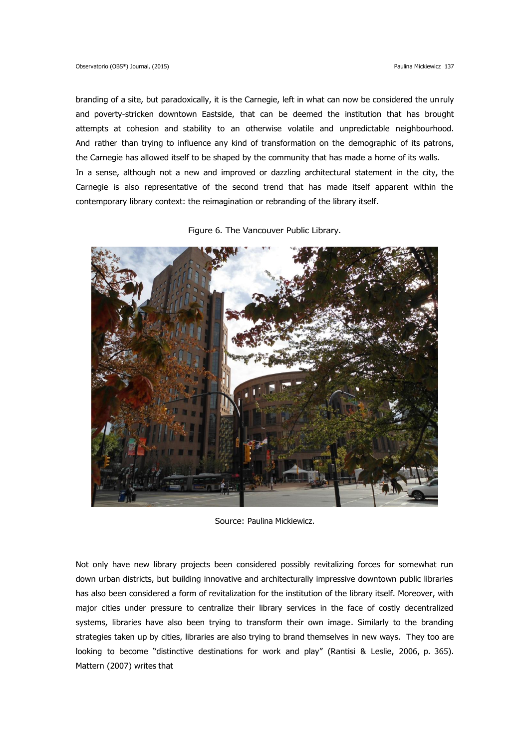branding of a site, but paradoxically, it is the Carnegie, left in what can now be considered the unruly and poverty-stricken downtown Eastside, that can be deemed the institution that has brought attempts at cohesion and stability to an otherwise volatile and unpredictable neighbourhood. And rather than trying to influence any kind of transformation on the demographic of its patrons, the Carnegie has allowed itself to be shaped by the community that has made a home of its walls. In a sense, although not a new and improved or dazzling architectural statement in the city, the Carnegie is also representative of the second trend that has made itself apparent within the contemporary library context: the reimagination or rebranding of the library itself.

Figure 6. The Vancouver Public Library.



Source: Paulina Mickiewicz.

Not only have new library projects been considered possibly revitalizing forces for somewhat run down urban districts, but building innovative and architecturally impressive downtown public libraries has also been considered a form of revitalization for the institution of the library itself. Moreover, with major cities under pressure to centralize their library services in the face of costly decentralized systems, libraries have also been trying to transform their own image. Similarly to the branding strategies taken up by cities, libraries are also trying to brand themselves in new ways. They too are looking to become "distinctive destinations for work and play" (Rantisi & Leslie, 2006, p. 365). Mattern (2007) writes that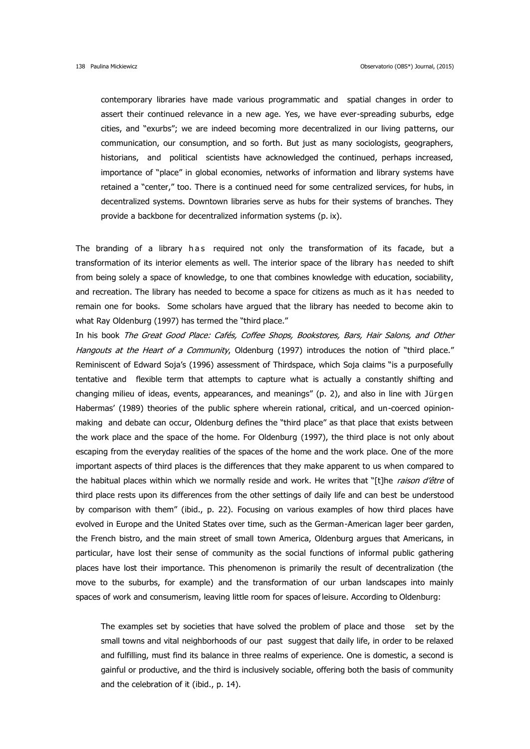contemporary libraries have made various programmatic and spatial changes in order to assert their continued relevance in a new age. Yes, we have ever-spreading suburbs, edge cities, and "exurbs"; we are indeed becoming more decentralized in our living patterns, our communication, our consumption, and so forth. But just as many sociologists, geographers, historians, and political scientists have acknowledged the continued, perhaps increased, importance of "place" in global economies, networks of information and library systems have retained a "center," too. There is a continued need for some centralized services, for hubs, in decentralized systems. Downtown libraries serve as hubs for their systems of branches. They provide a backbone for decentralized information systems (p. ix).

The branding of a library h as required not only the transformation of its facade, but a transformation of its interior elements as well. The interior space of the library has needed to shift from being solely a space of knowledge, to one that combines knowledge with education, sociability, and recreation. The library has needed to become a space for citizens as much as it has needed to remain one for books. Some scholars have argued that the library has needed to become akin to what Ray Oldenburg (1997) has termed the "third place."

In his book The Great Good Place: Cafés, Coffee Shops, Bookstores, Bars, Hair Salons, and Other Hangouts at the Heart of a Community, Oldenburg (1997) introduces the notion of "third place." Reminiscent of Edward Soja's (1996) assessment of Thirdspace, which Soja claims "is a purposefully tentative and flexible term that attempts to capture what is actually a constantly shifting and changing milieu of ideas, events, appearances, and meanings" (p. 2), and also in line with Jürgen Habermas' (1989) theories of the public sphere wherein rational, critical, and un-coerced opinionmaking and debate can occur, Oldenburg defines the "third place" as that place that exists between the work place and the space of the home. For Oldenburg (1997), the third place is not only about escaping from the everyday realities of the spaces of the home and the work place. One of the more important aspects of third places is the differences that they make apparent to us when compared to the habitual places within which we normally reside and work. He writes that "[t]he raison d'être of third place rests upon its differences from the other settings of daily life and can best be understood by comparison with them" (ibid., p. 22). Focusing on various examples of how third places have evolved in Europe and the United States over time, such as the German-American lager beer garden, the French bistro, and the main street of small town America, Oldenburg argues that Americans, in particular, have lost their sense of community as the social functions of informal public gathering places have lost their importance. This phenomenon is primarily the result of decentralization (the move to the suburbs, for example) and the transformation of our urban landscapes into mainly spaces of work and consumerism, leaving little room for spaces of leisure. According to Oldenburg:

The examples set by societies that have solved the problem of place and those set by the small towns and vital neighborhoods of our past suggest that daily life, in order to be relaxed and fulfilling, must find its balance in three realms of experience. One is domestic, a second is gainful or productive, and the third is inclusively sociable, offering both the basis of community and the celebration of it (ibid., p. 14).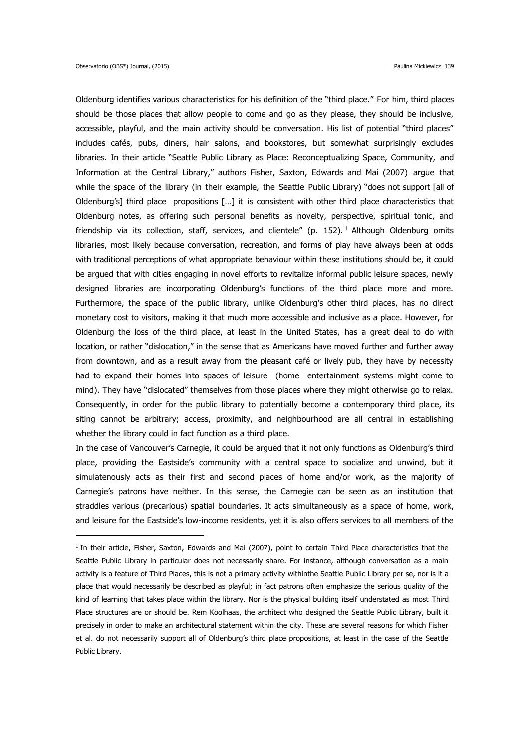1

Oldenburg identifies various characteristics for his definition of the "third place." For him, third places should be those places that allow people to come and go as they please, they should be inclusive, accessible, playful, and the main activity should be conversation. His list of potential "third places" includes cafés, pubs, diners, hair salons, and bookstores, but somewhat surprisingly excludes libraries. In their article "Seattle Public Library as Place: Reconceptualizing Space, Community, and Information at the Central Library," authors Fisher, Saxton, Edwards and Mai (2007) argue that while the space of the library (in their example, the Seattle Public Library) "does not support [all of Oldenburg's] third place propositions […] it is consistent with other third place characteristics that Oldenburg notes, as offering such personal benefits as novelty, perspective, spiritual tonic, and friendship via its collection, staff, services, and clientele" (p.  $152$ ).<sup>1</sup> Although Oldenburg omits libraries, most likely because conversation, recreation, and forms of play have always been at odds with traditional perceptions of what appropriate behaviour within these institutions should be, it could be argued that with cities engaging in novel efforts to revitalize informal public leisure spaces, newly designed libraries are incorporating Oldenburg's functions of the third place more and more. Furthermore, the space of the public library, unlike Oldenburg's other third places, has no direct monetary cost to visitors, making it that much more accessible and inclusive as a place. However, for Oldenburg the loss of the third place, at least in the United States, has a great deal to do with location, or rather "dislocation," in the sense that as Americans have moved further and further away from downtown, and as a result away from the pleasant café or lively pub, they have by necessity had to expand their homes into spaces of leisure (home entertainment systems might come to mind). They have "dislocated" themselves from those places where they might otherwise go to relax. Consequently, in order for the public library to potentially become a contemporary third place, its siting cannot be arbitrary; access, proximity, and neighbourhood are all central in establishing whether the library could in fact function as a third place.

In the case of Vancouver's Carnegie, it could be argued that it not only functions as Oldenburg's third place, providing the Eastside's community with a central space to socialize and unwind, but it simulatenously acts as their first and second places of home and/or work, as the majority of Carnegie's patrons have neither. In this sense, the Carnegie can be seen as an institution that straddles various (precarious) spatial boundaries. It acts simultaneously as a space of home, work, and leisure for the Eastside's low-income residents, yet it is also offers services to all members of the

<sup>&</sup>lt;sup>1</sup> In their article, Fisher, Saxton, Edwards and Mai (2007), point to certain Third Place characteristics that the Seattle Public Library in particular does not necessarily share. For instance, although conversation as a main activity is a feature of Third Places, this is not a primary activity withinthe Seattle Public Library per se, nor is it a place that would necessarily be described as playful; in fact patrons often emphasize the serious quality of the kind of learning that takes place within the library. Nor is the physical building itself understated as most Third Place structures are or should be. Rem Koolhaas, the architect who designed the Seattle Public Library, built it precisely in order to make an architectural statement within the city. These are several reasons for which Fisher et al. do not necessarily support all of Oldenburg's third place propositions, at least in the case of the Seattle Public Library.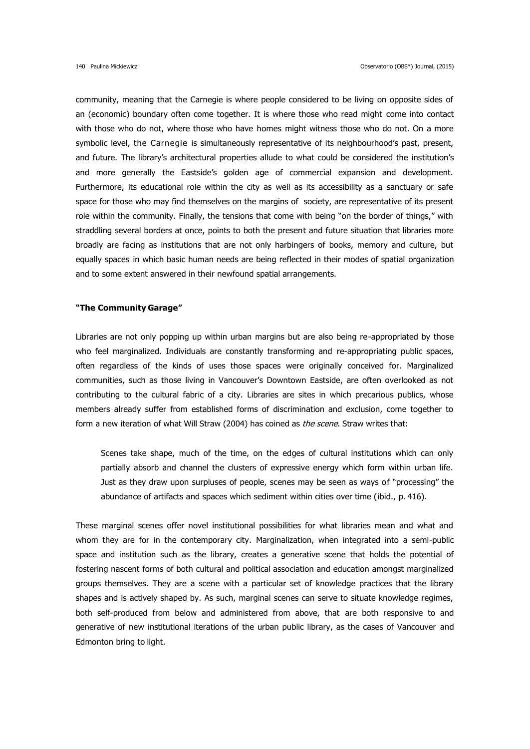community, meaning that the Carnegie is where people considered to be living on opposite sides of an (economic) boundary often come together. It is where those who read might come into contact with those who do not, where those who have homes might witness those who do not. On a more symbolic level, the Carnegie is simultaneously representative of its neighbourhood's past, present, and future. The library's architectural properties allude to what could be considered the institution's and more generally the Eastside's golden age of commercial expansion and development. Furthermore, its educational role within the city as well as its accessibility as a sanctuary or safe space for those who may find themselves on the margins of society, are representative of its present role within the community. Finally, the tensions that come with being "on the border of things," with straddling several borders at once, points to both the present and future situation that libraries more broadly are facing as institutions that are not only harbingers of books, memory and culture, but equally spaces in which basic human needs are being reflected in their modes of spatial organization and to some extent answered in their newfound spatial arrangements.

#### **"The Community Garage"**

Libraries are not only popping up within urban margins but are also being re-appropriated by those who feel marginalized. Individuals are constantly transforming and re-appropriating public spaces, often regardless of the kinds of uses those spaces were originally conceived for. Marginalized communities, such as those living in Vancouver's Downtown Eastside, are often overlooked as not contributing to the cultural fabric of a city. Libraries are sites in which precarious publics, whose members already suffer from established forms of discrimination and exclusion, come together to form a new iteration of what Will Straw (2004) has coined as the scene. Straw writes that:

Scenes take shape, much of the time, on the edges of cultural institutions which can only partially absorb and channel the clusters of expressive energy which form within urban life. Just as they draw upon surpluses of people, scenes may be seen as ways of "processing" the abundance of artifacts and spaces which sediment within cities over time (ibid., p. 416).

These marginal scenes offer novel institutional possibilities for what libraries mean and what and whom they are for in the contemporary city. Marginalization, when integrated into a semi-public space and institution such as the library, creates a generative scene that holds the potential of fostering nascent forms of both cultural and political association and education amongst marginalized groups themselves. They are a scene with a particular set of knowledge practices that the library shapes and is actively shaped by. As such, marginal scenes can serve to situate knowledge regimes, both self-produced from below and administered from above, that are both responsive to and generative of new institutional iterations of the urban public library, as the cases of Vancouver and Edmonton bring to light.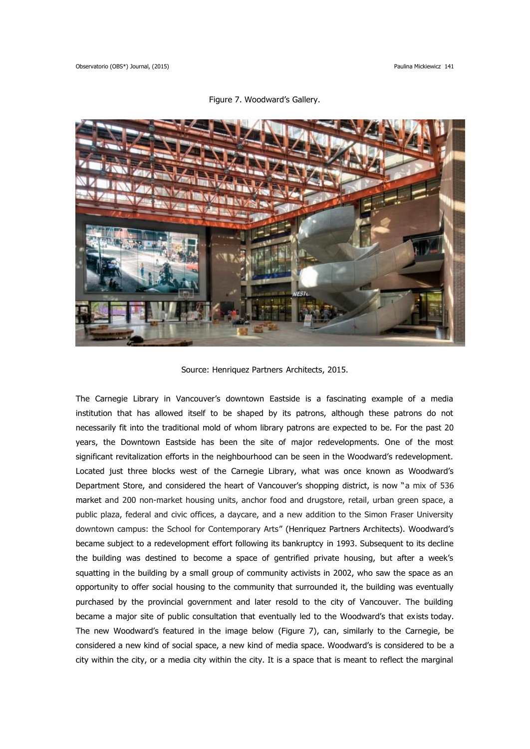

Figure 7. Woodward's Gallery.

Source: Henriquez Partners Architects, 2015.

The Carnegie Library in Vancouver's downtown Eastside is a fascinating example of a media institution that has allowed itself to be shaped by its patrons, although these patrons do not necessarily fit into the traditional mold of whom library patrons are expected to be. For the past 20 years, the Downtown Eastside has been the site of major redevelopments. One of the most significant revitalization efforts in the neighbourhood can be seen in the Woodward's redevelopment. Located just three blocks west of the Carnegie Library, what was once known as Woodward's Department Store, and considered the heart of Vancouver's shopping district, is now "a mix of 536 market and 200 non-market housing units, anchor food and drugstore, retail, urban green space, a public plaza, federal and civic offices, a daycare, and a new addition to the Simon Fraser University downtown campus: the School for Contemporary Arts" (Henriquez Partners Architects). Woodward's became subject to a redevelopment effort following its bankruptcy in 1993. Subsequent to its decline the building was destined to become a space of gentrified private housing, but after a week's squatting in the building by a small group of community activists in 2002, who saw the space as an opportunity to offer social housing to the community that surrounded it, the building was eventually purchased by the provincial government and later resold to the city of Vancouver. The building became a major site of public consultation that eventually led to the Woodward's that exists today. The new Woodward's featured in the image below (Figure 7), can, similarly to the Carnegie, be considered a new kind of social space, a new kind of media space. Woodward's is considered to be a city within the city, or a media city within the city. It is a space that is meant to reflect the marginal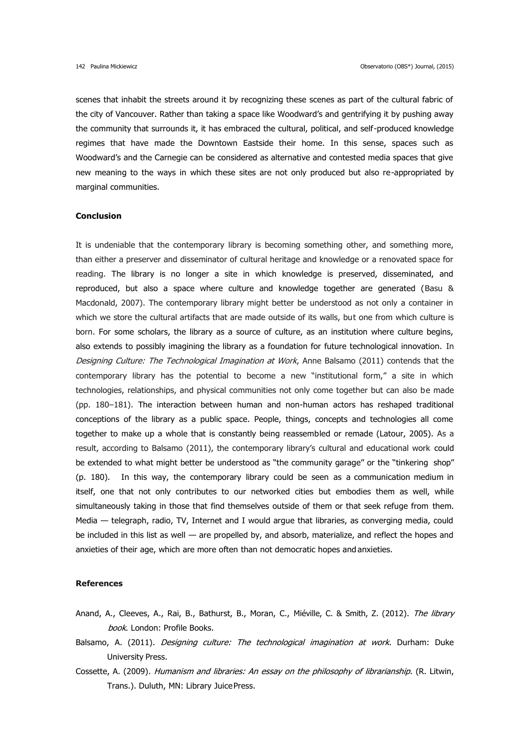scenes that inhabit the streets around it by recognizing these scenes as part of the cultural fabric of the city of Vancouver. Rather than taking a space like Woodward's and gentrifying it by pushing away the community that surrounds it, it has embraced the cultural, political, and self-produced knowledge regimes that have made the Downtown Eastside their home. In this sense, spaces such as Woodward's and the Carnegie can be considered as alternative and contested media spaces that give new meaning to the ways in which these sites are not only produced but also re-appropriated by marginal communities.

# **Conclusion**

It is undeniable that the contemporary library is becoming something other, and something more, than either a preserver and disseminator of cultural heritage and knowledge or a renovated space for reading. The library is no longer a site in which knowledge is preserved, disseminated, and reproduced, but also a space where culture and knowledge together are generated (Basu & Macdonald, 2007). The contemporary library might better be understood as not only a container in which we store the cultural artifacts that are made outside of its walls, but one from which culture is born. For some scholars, the library as a source of culture, as an institution where culture begins, also extends to possibly imagining the library as a foundation for future technological innovation. In Designing Culture: The Technological Imagination at Work, Anne Balsamo (2011) contends that the contemporary library has the potential to become a new "institutional form," a site in which technologies, relationships, and physical communities not only come together but can also be made (pp. 180–181). The interaction between human and non-human actors has reshaped traditional conceptions of the library as a public space. People, things, concepts and technologies all come together to make up a whole that is constantly being reassembled or remade (Latour, 2005). As a result, according to Balsamo (2011), the contemporary library's cultural and educational work could be extended to what might better be understood as "the community garage" or the "tinkering shop" (p. 180). In this way, the contemporary library could be seen as a communication medium in itself, one that not only contributes to our networked cities but embodies them as well, while simultaneously taking in those that find themselves outside of them or that seek refuge from them. Media — telegraph, radio, TV, Internet and I would argue that libraries, as converging media, could be included in this list as well — are propelled by, and absorb, materialize, and reflect the hopes and anxieties of their age, which are more often than not democratic hopes and anxieties.

#### **References**

- Anand, A., Cleeves, A., Rai, B., Bathurst, B., Moran, C., Miéville, C. & Smith, Z. (2012). The library book. London: Profile Books.
- Balsamo, A. (2011). *Designing culture: The technological imagination at work*. Durham: Duke University Press.
- Cossette, A. (2009). Humanism and libraries: An essay on the philosophy of librarianship. (R. Litwin, Trans.). Duluth, MN: Library JuicePress.